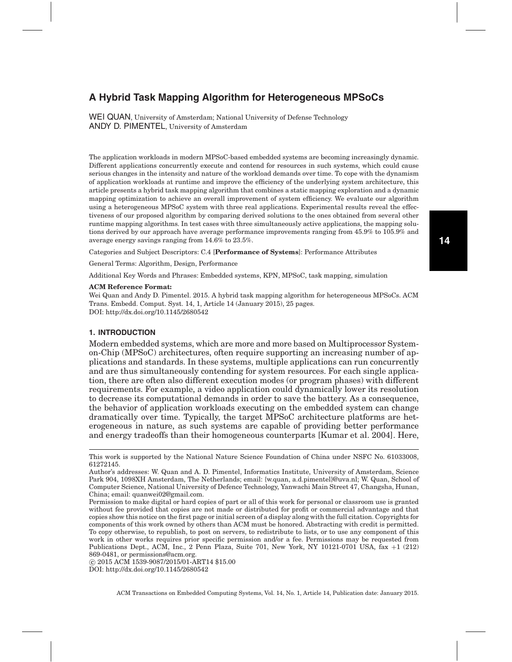WEI QUAN, University of Amsterdam; National University of Defense Technology ANDY D. PIMENTEL, University of Amsterdam

The application workloads in modern MPSoC-based embedded systems are becoming increasingly dynamic. Different applications concurrently execute and contend for resources in such systems, which could cause serious changes in the intensity and nature of the workload demands over time. To cope with the dynamism of application workloads at runtime and improve the efficiency of the underlying system architecture, this article presents a hybrid task mapping algorithm that combines a static mapping exploration and a dynamic mapping optimization to achieve an overall improvement of system efficiency. We evaluate our algorithm using a heterogeneous MPSoC system with three real applications. Experimental results reveal the effectiveness of our proposed algorithm by comparing derived solutions to the ones obtained from several other runtime mapping algorithms. In test cases with three simultaneously active applications, the mapping solutions derived by our approach have average performance improvements ranging from 45.9% to 105.9% and average energy savings ranging from 14.6% to 23.5%.

Categories and Subject Descriptors: C.4 [**Performance of Systems**]: Performance Attributes

General Terms: Algorithm, Design, Performance

Additional Key Words and Phrases: Embedded systems, KPN, MPSoC, task mapping, simulation

#### **ACM Reference Format:**

Wei Quan and Andy D. Pimentel. 2015. A hybrid task mapping algorithm for heterogeneous MPSoCs. ACM Trans. Embedd. Comput. Syst. 14, 1, Article 14 (January 2015), 25 pages. DOI:<http://dx.doi.org/10.1145/2680542>

## **1. INTRODUCTION**

Modern embedded systems, which are more and more based on Multiprocessor Systemon-Chip (MPSoC) architectures, often require supporting an increasing number of applications and standards. In these systems, multiple applications can run concurrently and are thus simultaneously contending for system resources. For each single application, there are often also different execution modes (or program phases) with different requirements. For example, a video application could dynamically lower its resolution to decrease its computational demands in order to save the battery. As a consequence, the behavior of application workloads executing on the embedded system can change dramatically over time. Typically, the target MPSoC architecture platforms are heterogeneous in nature, as such systems are capable of providing better performance and energy tradeoffs than their homogeneous counterparts [Kumar et al. [2004\]](#page-23-0). Here,

⃝c 2015 ACM 1539-9087/2015/01-ART14 \$15.00 DOI:<http://dx.doi.org/10.1145/2680542>

This work is supported by the National Nature Science Foundation of China under NSFC No. 61033008, 61272145.

Author's addresses: W. Quan and A. D. Pimentel, Informatics Institute, University of Amsterdam, Science Park 904, 1098XH Amsterdam, The Netherlands; email: {w.quan, a.d.pimentel}@uva.nl; W. Quan, School of Computer Science, National University of Defence Technology, Yanwachi Main Street 47, Changsha, Hunan, China; email: quanwei02@gmail.com.

Permission to make digital or hard copies of part or all of this work for personal or classroom use is granted without fee provided that copies are not made or distributed for profit or commercial advantage and that copies show this notice on the first page or initial screen of a display along with the full citation. Copyrights for components of this work owned by others than ACM must be honored. Abstracting with credit is permitted. To copy otherwise, to republish, to post on servers, to redistribute to lists, or to use any component of this work in other works requires prior specific permission and/or a fee. Permissions may be requested from Publications Dept., ACM, Inc., 2 Penn Plaza, Suite 701, New York, NY 10121-0701 USA, fax +1 (212) 869-0481, or permissions@acm.org.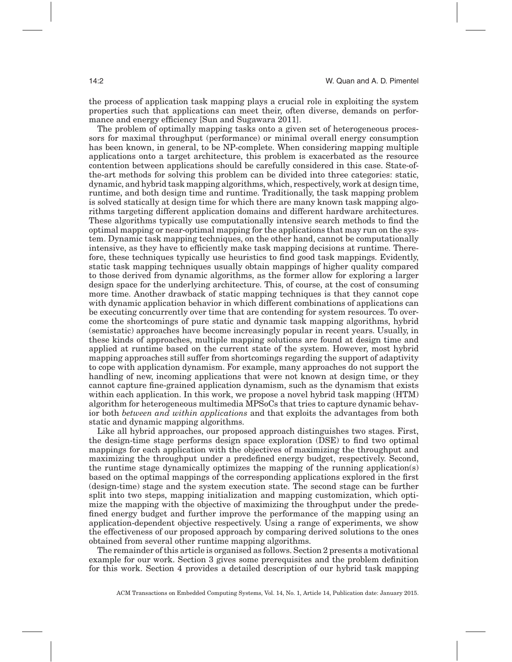the process of application task mapping plays a crucial role in exploiting the system properties such that applications can meet their, often diverse, demands on performance and energy efficiency [Sun and Sugawara [2011\]](#page-24-0).

The problem of optimally mapping tasks onto a given set of heterogeneous processors for maximal throughput (performance) or minimal overall energy consumption has been known, in general, to be NP-complete. When considering mapping multiple applications onto a target architecture, this problem is exacerbated as the resource contention between applications should be carefully considered in this case. State-ofthe-art methods for solving this problem can be divided into three categories: static, dynamic, and hybrid task mapping algorithms, which, respectively, work at design time, runtime, and both design time and runtime. Traditionally, the task mapping problem is solved statically at design time for which there are many known task mapping algorithms targeting different application domains and different hardware architectures. These algorithms typically use computationally intensive search methods to find the optimal mapping or near-optimal mapping for the applications that may run on the system. Dynamic task mapping techniques, on the other hand, cannot be computationally intensive, as they have to efficiently make task mapping decisions at runtime. Therefore, these techniques typically use heuristics to find good task mappings. Evidently, static task mapping techniques usually obtain mappings of higher quality compared to those derived from dynamic algorithms, as the former allow for exploring a larger design space for the underlying architecture. This, of course, at the cost of consuming more time. Another drawback of static mapping techniques is that they cannot cope with dynamic application behavior in which different combinations of applications can be executing concurrently over time that are contending for system resources. To overcome the shortcomings of pure static and dynamic task mapping algorithms, hybrid (semistatic) approaches have become increasingly popular in recent years. Usually, in these kinds of approaches, multiple mapping solutions are found at design time and applied at runtime based on the current state of the system. However, most hybrid mapping approaches still suffer from shortcomings regarding the support of adaptivity to cope with application dynamism. For example, many approaches do not support the handling of new, incoming applications that were not known at design time, or they cannot capture fine-grained application dynamism, such as the dynamism that exists within each application. In this work, we propose a novel hybrid task mapping (HTM) algorithm for heterogeneous multimedia MPSoCs that tries to capture dynamic behavior both *between and within applications* and that exploits the advantages from both static and dynamic mapping algorithms.

Like all hybrid approaches, our proposed approach distinguishes two stages. First, the design-time stage performs design space exploration (DSE) to find two optimal mappings for each application with the objectives of maximizing the throughput and maximizing the throughput under a predefined energy budget, respectively. Second, the runtime stage dynamically optimizes the mapping of the running application(s) based on the optimal mappings of the corresponding applications explored in the first (design-time) stage and the system execution state. The second stage can be further split into two steps, mapping initialization and mapping customization, which optimize the mapping with the objective of maximizing the throughput under the predefined energy budget and further improve the performance of the mapping using an application-dependent objective respectively. Using a range of experiments, we show the effectiveness of our proposed approach by comparing derived solutions to the ones obtained from several other runtime mapping algorithms.

The remainder of this article is organised as follows. Section [2](#page-2-0) presents a motivational example for our work. Section [3](#page-3-0) gives some prerequisites and the problem definition for this work. Section [4](#page-5-0) provides a detailed description of our hybrid task mapping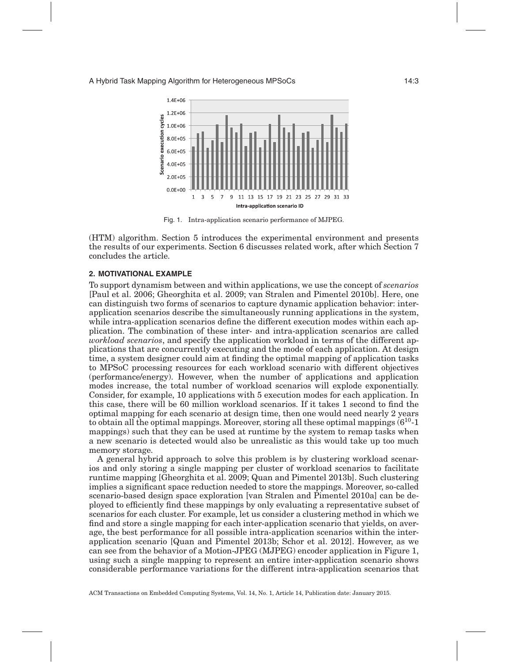<span id="page-2-1"></span>

<span id="page-2-0"></span>Fig. 1. Intra-application scenario performance of MJPEG.

(HTM) algorithm. Section [5](#page-15-0) introduces the experimental environment and presents the results of our experiments. Section [6](#page-21-0) discusses related work, after which Section [7](#page-22-0) concludes the article.

## **2. MOTIVATIONAL EXAMPLE**

To support dynamism between and within applications, we use the concept of *scenarios* [Paul et al. [2006;](#page-23-1) Gheorghita et al. [2009;](#page-23-2) van Stralen and Pimentel [2010b\]](#page-24-1). Here, one can distinguish two forms of scenarios to capture dynamic application behavior: interapplication scenarios describe the simultaneously running applications in the system, while intra-application scenarios define the different execution modes within each application. The combination of these inter- and intra-application scenarios are called *workload scenarios*, and specify the application workload in terms of the different applications that are concurrently executing and the mode of each application. At design time, a system designer could aim at finding the optimal mapping of application tasks to MPSoC processing resources for each workload scenario with different objectives (performance/energy). However, when the number of applications and application modes increase, the total number of workload scenarios will explode exponentially. Consider, for example, 10 applications with 5 execution modes for each application. In this case, there will be 60 million workload scenarios. If it takes 1 second to find the optimal mapping for each scenario at design time, then one would need nearly 2 years to obtain all the optimal mappings. Moreover, storing all these optimal mappings  $(6^{10}-1)$ mappings) such that they can be used at runtime by the system to remap tasks when a new scenario is detected would also be unrealistic as this would take up too much memory storage.

A general hybrid approach to solve this problem is by clustering workload scenarios and only storing a single mapping per cluster of workload scenarios to facilitate runtime mapping [Gheorghita et al. [2009;](#page-23-2) Quan and Pimentel [2013b\]](#page-23-3). Such clustering implies a significant space reduction needed to store the mappings. Moreover, so-called scenario-based design space exploration [van Stralen and Pimentel [2010a\]](#page-24-2) can be deployed to efficiently find these mappings by only evaluating a representative subset of scenarios for each cluster. For example, let us consider a clustering method in which we find and store a single mapping for each inter-application scenario that yields, on average, the best performance for all possible intra-application scenarios within the interapplication scenario [Quan and Pimentel [2013b;](#page-23-3) Schor et al. [2012\]](#page-24-3). However, as we can see from the behavior of a Motion-JPEG (MJPEG) encoder application in Figure [1,](#page-2-1) using such a single mapping to represent an entire inter-application scenario shows considerable performance variations for the different intra-application scenarios that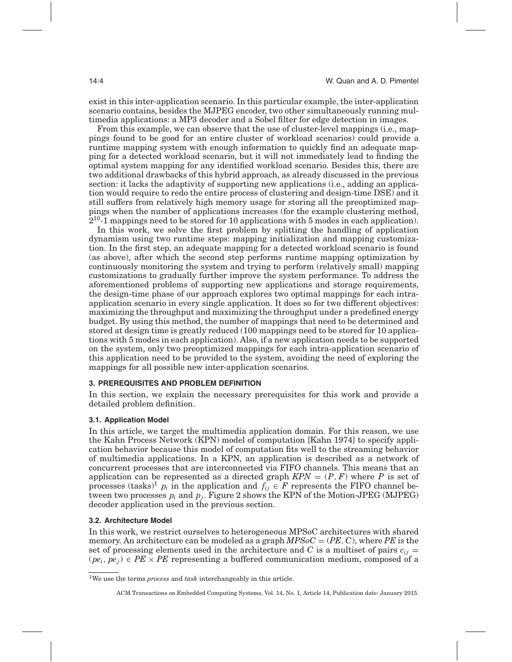exist in this inter-application scenario. In this particular example, the inter-application scenario contains, besides the MJPEG encoder, two other simultaneously running multimedia applications: a MP3 decoder and a Sobel filter for edge detection in images.

From this example, we can observe that the use of cluster-level mappings (i.e., mappings found to be good for an entire cluster of workload scenarios) could provide a runtime mapping system with enough information to quickly find an adequate mapping for a detected workload scenario, but it will not immediately lead to finding the optimal system mapping for any identified workload scenario. Besides this, there are two additional drawbacks of this hybrid approach, as already discussed in the previous section: it lacks the adaptivity of supporting new applications (i.e., adding an application would require to redo the entire process of clustering and design-time DSE) and it still suffers from relatively high memory usage for storing all the preoptimized mappings when the number of applications increases (for the example clustering method,  $2^{10}$ -1 mappings need to be stored for 10 applications with 5 modes in each application).

In this work, we solve the first problem by splitting the handling of application dynamism using two runtime steps: mapping initialization and mapping customization. In the first step, an adequate mapping for a detected workload scenario is found (as above), after which the second step performs runtime mapping optimization by continuously monitoring the system and trying to perform (relatively small) mapping customizations to gradually further improve the system performance. To address the aforementioned problems of supporting new applications and storage requirements, the design-time phase of our approach explores two optimal mappings for each intraapplication scenario in every single application. It does so for two different objectives: maximizing the throughput and maximizing the throughput under a predefined energy budget. By using this method, the number of mappings that need to be determined and stored at design time is greatly reduced (100 mappings need to be stored for 10 applications with 5 modes in each application). Also, if a new application needs to be supported on the system, only two preoptimized mappings for each intra-application scenario of this application need to be provided to the system, avoiding the need of exploring the mappings for all possible new inter-application scenarios.

## **3. PREREQUISITES AND PROBLEM DEFINITION**

<span id="page-3-0"></span>In this section, we explain the necessary prerequisites for this work and provide a detailed problem definition.

## **3.1. Application Model**

In this article, we target the multimedia application domain. For this reason, we use the Kahn Process Network (KPN) model of computation [Kahn [1974\]](#page-23-4) to specify application behavior because this model of computation fits well to the streaming behavior of multimedia applications. In a KPN, an application is described as a network of concurrent processes that are interconnected via FIFO channels. This means that an application can be represented as a directed graph  $KPN = (P, F)$  where P is set of processes (tasks)<sup>[1](#page-3-1)</sup>  $p_i$  in the application and  $f_{ij} \in F$  represents the FIFO channel between two processes *pi* and *pj*. Figure [2](#page-4-0) shows the KPN of the Motion-JPEG (MJPEG) decoder application used in the previous section.

## **3.2. Architecture Model**

<span id="page-3-2"></span>In this work, we restrict ourselves to heterogeneous MPSoC architectures with shared memory. An architecture can be modeled as a graph *MPSoC* = (*PE*, *C*), where *PE* is the set of processing elements used in the architecture and *C* is a multiset of pairs  $c_{ij}$  =  $(\rho e_i, \rho e_j) \in PE \times PE$  representing a buffered communication medium, composed of a

<span id="page-3-1"></span><sup>1</sup>We use the terms *process* and *task* interchangeably in this article.

ACM Transactions on Embedded Computing Systems, Vol. 14, No. 1, Article 14, Publication date: January 2015.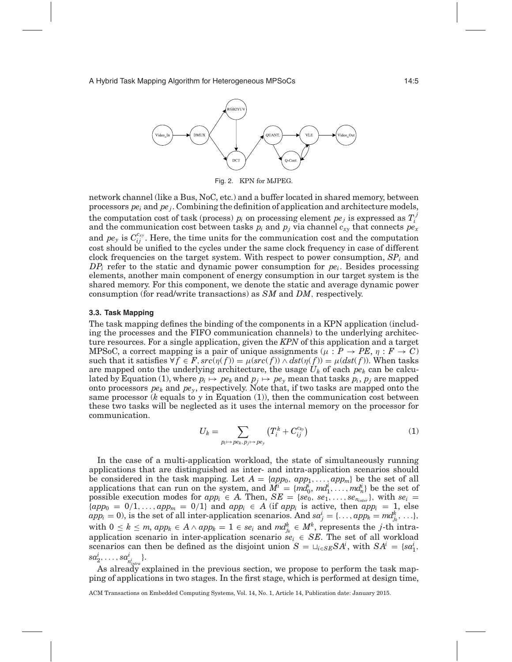<span id="page-4-0"></span>

Fig. 2. KPN for MJPEG.

network channel (like a Bus, NoC, etc.) and a buffer located in shared memory, between processors  $pe_i$  and  $pe_j$ . Combining the definition of application and architecture models, the computation cost of task (process)  $p_i$  on processing element  $pe_j$  is expressed as  $T_i^j$ and the communication cost between tasks  $p_i$  and  $p_j$  via channel  $c_{xy}$  that connects  $pe_x$ and  $pe_y$  is  $C_{ij}^{c_{xy}}$ . Here, the time units for the communication cost and the computation cost should be unified to the cycles under the same clock frequency in case of different clock frequencies on the target system. With respect to power consumption, *SPi* and *DPi* refer to the static and dynamic power consumption for *pei*. Besides processing elements, another main component of energy consumption in our target system is the shared memory. For this component, we denote the static and average dynamic power consumption (for read/write transactions) as *SM* and *DM*, respectively.

#### **3.3. Task Mapping**

The task mapping defines the binding of the components in a KPN application (including the processes and the FIFO communication channels) to the underlying architecture resources. For a single application, given the *KPN* of this application and a target MPSoC, a correct mapping is a pair of unique assignments ( $\mu$  :  $P \rightarrow PE$ ,  $\eta$  :  $F \rightarrow C$ ) such that it satisfies  $\forall f \in F$ ,  $src(\eta(f)) = \mu(src(f)) \land \text{dst}(\eta(f)) = \mu(\text{dst}(f))$ . When tasks are mapped onto the underlying architecture, the usage  $U_k$  of each  $pe_k$  can be calculated by Equation (1), where  $p_i \mapsto pe_k$  and  $p_j \mapsto pe_y$  mean that tasks  $p_i$ ,  $p_j$  are mapped onto processors  $pe_k$  and  $pe_v$ , respectively. Note that, if two tasks are mapped onto the same processor ( $k$  equals to  $y$  in Equation (1)), then the communication cost between these two tasks will be neglected as it uses the internal memory on the processor for communication.

$$
U_k = \sum_{p_i \mapsto pe_k, p_j \mapsto pe_y} \left( T_i^k + C_{ij}^{c_{ky}} \right) \tag{1}
$$

In the case of a multi-application workload, the state of simultaneously running applications that are distinguished as inter- and intra-application scenarios should be considered in the task mapping. Let  $A = \{app_0, app_1, \ldots, app_m\}$  be the set of all applications that can run on the system, and  $M^i = \{md_0^i, md_1^i, \ldots, md_n^i\}$  be the set of possible execution modes for  $app_i \in A$ . Then,  $SE = \{se_0, se_1, \ldots, se_{n_{inter}}\},$  with  $se_i =$  $\{app_0 = 0/1, \ldots, app_m = 0/1\}$  and  $app_i \in A$  (if  $app_i$  is active, then  $app_i = 1$ , else  $app_i = 0$ , is the set of all inter-application scenarios. And  $sa_j^i = \{ \dots, app_k = md_{j_k}^k, \dots \}$ , with  $0 \leq k \leq m$ ,  $app_k \in A \land app_k = 1 \in se_i$  and  $md_{j_k}^k \in M^k$ , represents the *j*-th intraapplication scenario in inter-application scenario  $se_i \in SE$ . The set of all workload scenarios can then be defined as the disjoint union  $S = \bigcup_{i \in SE} SA^i$ , with  $SA^i = \{sa^i\}$ ,  $sa^i_2, \ldots, sa^i_{n^i_{intra}}\}.$ 

As already explained in the previous section, we propose to perform the task mapping of applications in two stages. In the first stage, which is performed at design time,

ACM Transactions on Embedded Computing Systems, Vol. 14, No. 1, Article 14, Publication date: January 2015.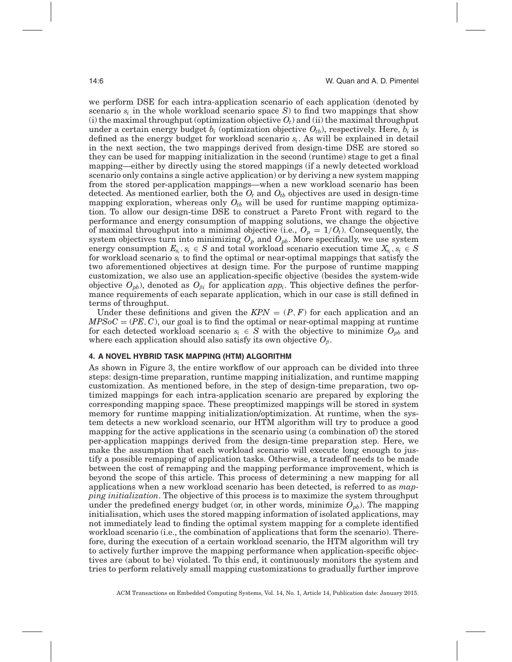we perform DSE for each intra-application scenario of each application (denoted by scenario  $s_i$  in the whole workload scenario space  $S$ ) to find two mappings that show (i) the maximal throughput (optimization objective  $O_t$ ) and (ii) the maximal throughput under a certain energy budget  $b_i$  (optimization objective  $O_{th}$ ), respectively. Here,  $b_i$  is defined as the energy budget for workload scenario *si*. As will be explained in detail in the next section, the two mappings derived from design-time DSE are stored so they can be used for mapping initialization in the second (runtime) stage to get a final mapping—either by directly using the stored mappings (if a newly detected workload scenario only contains a single active application) or by deriving a new system mapping from the stored per-application mappings—when a new workload scenario has been detected. As mentioned earlier, both the  $O_t$  and  $O_{tb}$  objectives are used in design-time mapping exploration, whereas only  $O_{tb}$  will be used for runtime mapping optimization. To allow our design-time DSE to construct a Pareto Front with regard to the performance and energy consumption of mapping solutions, we change the objective of maximal throughput into a minimal objective (i.e.,  $O_p = 1/O_t$ ). Consequently, the system objectives turn into minimizing  $O_p$  and  $O_{pb}$ . More specifically, we use system energy consumption  $E_{s_i}, s_i \in S$  and total workload scenario execution time  $X_{s_i}, s_i \in S$ for workload scenario  $s_i$  to find the optimal or near-optimal mappings that satisfy the two aforementioned objectives at design time. For the purpose of runtime mapping customization, we also use an application-specific objective (besides the system-wide objective  $O_{pb}$ , denoted as  $O_{β}$  for application  $app_i$ . This objective defines the performance requirements of each separate application, which in our case is still defined in terms of throughput.

Under these definitions and given the  $KPN = (P, F)$  for each application and an  $MPSoC = (PE, C)$ , our goal is to find the optimal or near-optimal mapping at runtime for each detected workload scenario  $s_i \in S$  with the objective to minimize  $O_{pb}$  and where each application should also satisfy its own objective  $O_{\beta}$ .

## **4. A NOVEL HYBRID TASK MAPPING (HTM) ALGORITHM**

<span id="page-5-0"></span>As shown in Figure [3,](#page-6-0) the entire workflow of our approach can be divided into three steps: design-time preparation, runtime mapping initialization, and runtime mapping customization. As mentioned before, in the step of design-time preparation, two optimized mappings for each intra-application scenario are prepared by exploring the corresponding mapping space. These preoptimized mappings will be stored in system memory for runtime mapping initialization/optimization. At runtime, when the system detects a new workload scenario, our HTM algorithm will try to produce a good mapping for the active applications in the scenario using (a combination of) the stored per-application mappings derived from the design-time preparation step. Here, we make the assumption that each workload scenario will execute long enough to justify a possible remapping of application tasks. Otherwise, a tradeoff needs to be made between the cost of remapping and the mapping performance improvement, which is beyond the scope of this article. This process of determining a new mapping for all applications when a new workload scenario has been detected, is referred to as *mapping initialization*. The objective of this process is to maximize the system throughput under the predefined energy budget (or, in other words, minimize  $O_{pb}$ ). The mapping initialisation, which uses the stored mapping information of isolated applications, may not immediately lead to finding the optimal system mapping for a complete identified workload scenario (i.e., the combination of applications that form the scenario). Therefore, during the execution of a certain workload scenario, the HTM algorithm will try to actively further improve the mapping performance when application-specific objectives are (about to be) violated. To this end, it continuously monitors the system and tries to perform relatively small mapping customizations to gradually further improve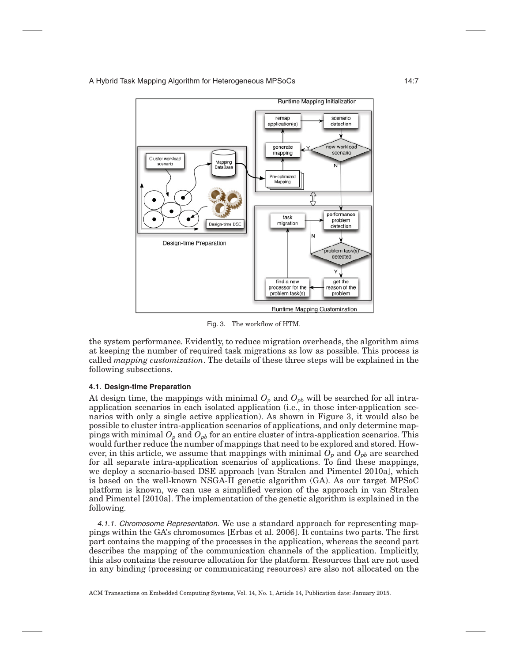<span id="page-6-0"></span>

<span id="page-6-1"></span>Fig. 3. The workflow of HTM.

the system performance. Evidently, to reduce migration overheads, the algorithm aims at keeping the number of required task migrations as low as possible. This process is called *mapping customization*. The details of these three steps will be explained in the following subsections.

## **4.1. Design-time Preparation**

At design time, the mappings with minimal  $O_p$  and  $O_{pb}$  will be searched for all intraapplication scenarios in each isolated application (i.e., in those inter-application scenarios with only a single active application). As shown in Figure [3,](#page-6-0) it would also be possible to cluster intra-application scenarios of applications, and only determine mappings with minimal  $O_p$  and  $O_{pb}$  for an entire cluster of intra-application scenarios. This would further reduce the number of mappings that need to be explored and stored. However, in this article, we assume that mappings with minimal  $O_p$  and  $O_{pb}$  are searched for all separate intra-application scenarios of applications. To find these mappings, we deploy a scenario-based DSE approach [van Stralen and Pimentel [2010a\]](#page-24-2), which is based on the well-known NSGA-II genetic algorithm (GA). As our target MPSoC platform is known, we can use a simplified version of the approach in van Stralen and Pimentel [\[2010a\]](#page-24-2). The implementation of the genetic algorithm is explained in the following.

4.1.1. Chromosome Representation. We use a standard approach for representing mappings within the GA's chromosomes [Erbas et al. [2006\]](#page-23-5). It contains two parts. The first part contains the mapping of the processes in the application, whereas the second part describes the mapping of the communication channels of the application. Implicitly, this also contains the resource allocation for the platform. Resources that are not used in any binding (processing or communicating resources) are also not allocated on the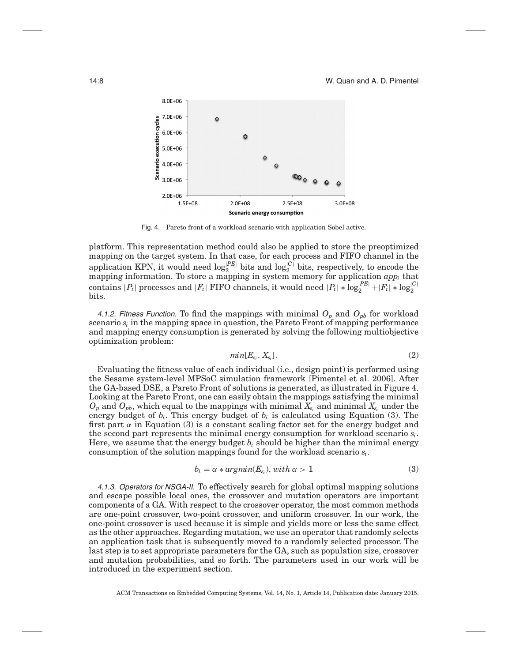<span id="page-7-0"></span>

Fig. 4. Pareto front of a workload scenario with application Sobel active.

platform. This representation method could also be applied to store the preoptimized mapping on the target system. In that case, for each process and FIFO channel in the application KPN, it would need  $\log_2^{|PE|}$  bits and  $\log_2^{|C|}$  bits, respectively, to encode the mapping information. To store a mapping in system memory for application *appi* that  $\text{contains } |P_i| \text{ processes and } |F_i| \text{ FIFO channels, it would need  $|P_i| * \log_2^{|PE|} + |F_i| * \log_2^{|C|}$$ bits.

4.1.2. Fitness Function. To find the mappings with minimal  $O_p$  and  $O_{pb}$  for workload scenario  $s_i$  in the mapping space in question, the Pareto Front of mapping performance and mapping energy consumption is generated by solving the following multiobjective optimization problem:

$$
min[E_{s_i}, X_{s_i}]. \tag{2}
$$

Evaluating the fitness value of each individual (i.e., design point) is performed using the Sesame system-level MPSoC simulation framework [Pimentel et al. [2006\]](#page-23-6). After the GA-based DSE, a Pareto Front of solutions is generated, as illustrated in Figure [4.](#page-7-0) Looking at the Pareto Front, one can easily obtain the mappings satisfying the minimal  $O_p$  and  $O_{pb}$ , which equal to the mappings with minimal  $\bar{X}_{s_i}$  and minimal  $\bar{X}_{s_i}$  under the energy budget of  $b_i$ . This energy budget of  $b_i$  is calculated using Equation (3). The first part  $\alpha$  in Equation (3) is a constant scaling factor set for the energy budget and the second part represents the minimal energy consumption for workload scenario *si*. Here, we assume that the energy budget  $b_i$  should be higher than the minimal energy consumption of the solution mappings found for the workload scenario *si*.

$$
b_i = \alpha * argmin(E_{s_i}), with \alpha > 1 \tag{3}
$$

4.1.3. Operators for NSGA-II. To effectively search for global optimal mapping solutions and escape possible local ones, the crossover and mutation operators are important components of a GA. With respect to the crossover operator, the most common methods are one-point crossover, two-point crossover, and uniform crossover. In our work, the one-point crossover is used because it is simple and yields more or less the same effect as the other approaches. Regarding mutation, we use an operator that randomly selects an application task that is subsequently moved to a randomly selected processor. The last step is to set appropriate parameters for the GA, such as population size, crossover and mutation probabilities, and so forth. The parameters used in our work will be introduced in the experiment section.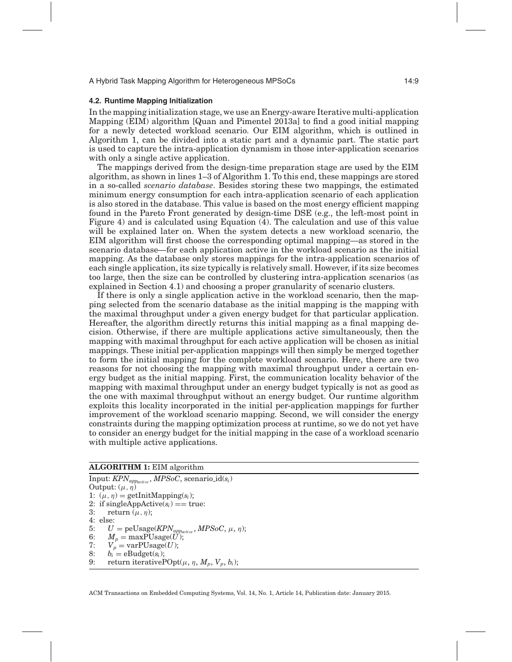#### **4.2. Runtime Mapping Initialization**

<span id="page-8-0"></span>In the mapping initialization stage, we use an Energy-aware Iterative multi-application Mapping (EIM) algorithm [Quan and Pimentel [2013a\]](#page-23-7) to find a good initial mapping for a newly detected workload scenario. Our EIM algorithm, which is outlined in Algorithm 1, can be divided into a static part and a dynamic part. The static part is used to capture the intra-application dynamism in those inter-application scenarios with only a single active application.

The mappings derived from the design-time preparation stage are used by the EIM algorithm, as shown in lines 1–3 of Algorithm 1. To this end, these mappings are stored in a so-called *scenario database*. Besides storing these two mappings, the estimated minimum energy consumption for each intra-application scenario of each application is also stored in the database. This value is based on the most energy efficient mapping found in the Pareto Front generated by design-time DSE (e.g., the left-most point in Figure [4\)](#page-7-0) and is calculated using Equation [\(4\)](#page-8-0). The calculation and use of this value will be explained later on. When the system detects a new workload scenario, the EIM algorithm will first choose the corresponding optimal mapping—as stored in the scenario database—for each application active in the workload scenario as the initial mapping. As the database only stores mappings for the intra-application scenarios of each single application, its size typically is relatively small. However, if its size becomes too large, then the size can be controlled by clustering intra-application scenarios (as explained in Section [4.1\)](#page-6-1) and choosing a proper granularity of scenario clusters.

If there is only a single application active in the workload scenario, then the mapping selected from the scenario database as the initial mapping is the mapping with the maximal throughput under a given energy budget for that particular application. Hereafter, the algorithm directly returns this initial mapping as a final mapping decision. Otherwise, if there are multiple applications active simultaneously, then the mapping with maximal throughput for each active application will be chosen as initial mappings. These initial per-application mappings will then simply be merged together to form the initial mapping for the complete workload scenario. Here, there are two reasons for not choosing the mapping with maximal throughput under a certain energy budget as the initial mapping. First, the communication locality behavior of the mapping with maximal throughput under an energy budget typically is not as good as the one with maximal throughput without an energy budget. Our runtime algorithm exploits this locality incorporated in the initial per-application mappings for further improvement of the workload scenario mapping. Second, we will consider the energy constraints during the mapping optimization process at runtime, so we do not yet have to consider an energy budget for the initial mapping in the case of a workload scenario with multiple active applications.

#### **ALGORITHM 1:** EIM algorithm

Input: *KPNappacti*v*<sup>e</sup>* , *MPSoC*, scenario id(*si*) Output:  $(\mu, \eta)$ 1:  $(\mu, \eta)$  = getInitMapping( $s_i$ ); 2: if singleAppActive( $s_i$ ) == true:<br>3: return ( $\mu$ , n): return  $(\mu, \eta)$ ; 4: else: 5:  $U = \text{peUsage}(KPN_{appactive}, MPSoC, \mu, \eta);$ <br>6:  $M_p = \text{maxPUsage}(U);$ 6:  $M_p = \text{maxPUsage}(U);$ <br>7:  $V_p = \text{varPUsage}(U);$ 7:  $V_p = \text{varPUsage}(U);$ <br>8:  $b_i = \text{eBudge}(s_i);$ 8:  $b_i = \text{eBudget}(s_i);$ <br>9: return iterative return iterative $POpt(\mu, \eta, M_p, V_p, b_i);$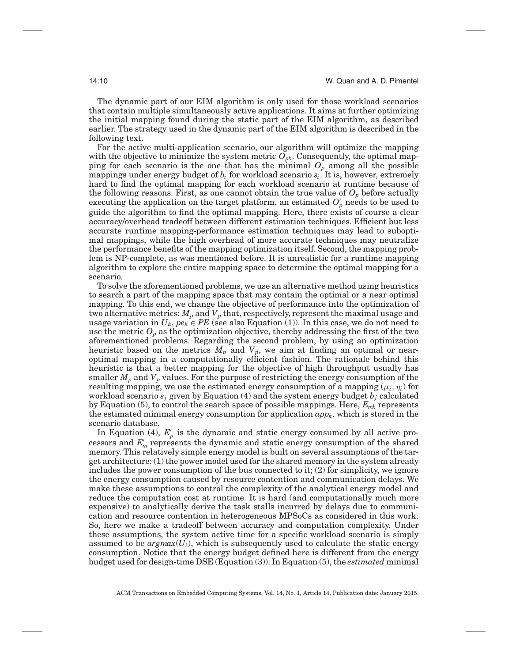The dynamic part of our EIM algorithm is only used for those workload scenarios that contain multiple simultaneously active applications. It aims at further optimizing the initial mapping found during the static part of the EIM algorithm, as described earlier. The strategy used in the dynamic part of the EIM algorithm is described in the following text.

For the active multi-application scenario, our algorithm will optimize the mapping with the objective to minimize the system metric  $O_{pb}$ . Consequently, the optimal mapping for each scenario is the one that has the minimal *Op* among all the possible mappings under energy budget of *bi* for workload scenario *si*. It is, however, extremely hard to find the optimal mapping for each workload scenario at runtime because of the following reasons. First, as one cannot obtain the true value of  $O_p$  before actually executing the application on the target platform, an estimated  $O'_p$  needs to be used to guide the algorithm to find the optimal mapping. Here, there exists of course a clear accuracy/overhead tradeoff between different estimation techniques. Efficient but less accurate runtime mapping-performance estimation techniques may lead to suboptimal mappings, while the high overhead of more accurate techniques may neutralize the performance benefits of the mapping optimization itself. Second, the mapping problem is NP-complete, as was mentioned before. It is unrealistic for a runtime mapping algorithm to explore the entire mapping space to determine the optimal mapping for a scenario.

To solve the aforementioned problems, we use an alternative method using heuristics to search a part of the mapping space that may contain the optimal or a near optimal mapping. To this end, we change the objective of performance into the optimization of two alternative metrics:  $M_p$  and  $V_p$  that, respectively, represent the maximal usage and usage variation in  $U_k$ ,  $pe_k \in PE$  (see also Equation (1)). In this case, we do not need to use the metric  $O_p$  as the optimization objective, thereby addressing the first of the two aforementioned problems. Regarding the second problem, by using an optimization heuristic based on the metrics  $M_p$  and  $V_p$ , we aim at finding an optimal or nearoptimal mapping in a computationally efficient fashion. The rationale behind this heuristic is that a better mapping for the objective of high throughput usually has smaller  $M_p$  and  $V_p$  values. For the purpose of restricting the energy consumption of the resulting mapping, we use the estimated energy consumption of a mapping  $(\mu_i, \eta_i)$  for workload scenario *sj* given by Equation [\(4\)](#page-8-0) and the system energy budget *bj* calculated by Equation (5), to control the search space of possible mappings. Here, *Emk* represents the estimated minimal energy consumption for application  $app_k$ , which is stored in the scenario database.

In Equation [\(4\)](#page-8-0),  $E_p'$  is the dynamic and static energy consumed by all active processors and *E*′ *<sup>m</sup>* represents the dynamic and static energy consumption of the shared memory. This relatively simple energy model is built on several assumptions of the target architecture: (1) the power model used for the shared memory in the system already includes the power consumption of the bus connected to it;  $(2)$  for simplicity, we ignore the energy consumption caused by resource contention and communication delays. We make these assumptions to control the complexity of the analytical energy model and reduce the computation cost at runtime. It is hard (and computationally much more expensive) to analytically derive the task stalls incurred by delays due to communication and resource contention in heterogeneous MPSoCs as considered in this work. So, here we make a tradeoff between accuracy and computation complexity. Under these assumptions, the system active time for a specific workload scenario is simply assumed to be  $argmax(U_i)$ , which is subsequently used to calculate the static energy consumption. Notice that the energy budget defined here is different from the energy budget used for design-time DSE (Equation (3)). In Equation (5), the *estimated* minimal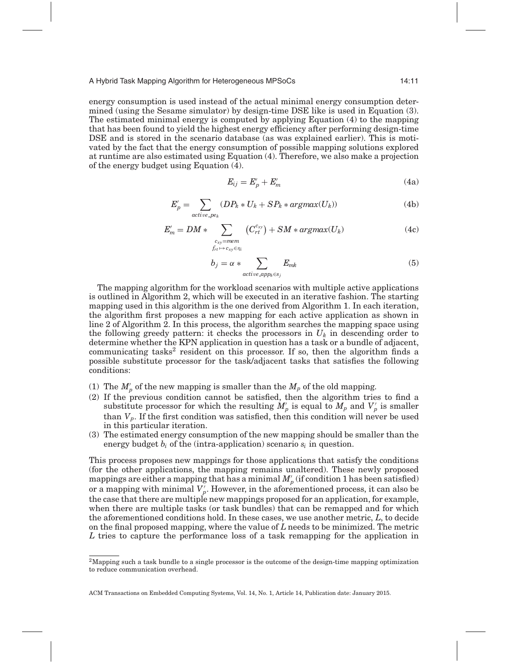energy consumption is used instead of the actual minimal energy consumption determined (using the Sesame simulator) by design-time DSE like is used in Equation (3). The estimated minimal energy is computed by applying Equation [\(4\)](#page-8-0) to the mapping that has been found to yield the highest energy efficiency after performing design-time DSE and is stored in the scenario database (as was explained earlier). This is motivated by the fact that the energy consumption of possible mapping solutions explored at runtime are also estimated using Equation [\(4\)](#page-8-0). Therefore, we also make a projection of the energy budget using Equation [\(4\)](#page-8-0).

$$
E_{ij} = E'_p + E'_m \tag{4a}
$$

$$
E'_p = \sum_{active \cdot pe_k} (DP_k * U_k + SP_k * argmax(U_k))
$$
\n(4b)

$$
E'_{m} = DM * \sum_{\substack{c_{xy} = mem \\ f_{rt} \to c_{xy} \in \eta_i}} (C_{rt}^{c_{xy}}) + SM * argmax(U_k)
$$
(4c)

$$
b_j = \alpha * \sum_{active \, apple \in s_j} E_{mk} \tag{5}
$$

The mapping algorithm for the workload scenarios with multiple active applications is outlined in Algorithm 2, which will be executed in an iterative fashion. The starting mapping used in this algorithm is the one derived from Algorithm 1. In each iteration, the algorithm first proposes a new mapping for each active application as shown in line 2 of Algorithm 2. In this process, the algorithm searches the mapping space using the following greedy pattern: it checks the processors in  $U_k$  in descending order to determine whether the KPN application in question has a task or a bundle of adjacent, communicating tasks[2](#page-10-0) resident on this processor. If so, then the algorithm finds a possible substitute processor for the task/adjacent tasks that satisfies the following conditions:

- (1) The  $M'_p$  of the new mapping is smaller than the  $M_p$  of the old mapping.
- (2) If the previous condition cannot be satisfied, then the algorithm tries to find a substitute processor for which the resulting  $M'_p$  is equal to  $M_p$  and  $V'_p$  is smaller than *Vp*. If the first condition was satisfied, then this condition will never be used in this particular iteration.
- (3) The estimated energy consumption of the new mapping should be smaller than the energy budget  $b_i$  of the (intra-application) scenario  $s_i$  in question.

This process proposes new mappings for those applications that satisfy the conditions (for the other applications, the mapping remains unaltered). These newly proposed mappings are either a mapping that has a minimal  $M_{p}^{\prime}$  (if condition 1 has been satisfied) or a mapping with minimal  $V_p'$ . However, in the aforementioned process, it can also be the case that there are multiple new mappings proposed for an application, for example, when there are multiple tasks (or task bundles) that can be remapped and for which the aforementioned conditions hold. In these cases, we use another metric, *L*, to decide on the final proposed mapping, where the value of *L* needs to be minimized. The metric *L* tries to capture the performance loss of a task remapping for the application in

<span id="page-10-0"></span><sup>&</sup>lt;sup>2</sup>Mapping such a task bundle to a single processor is the outcome of the design-time mapping optimization to reduce communication overhead.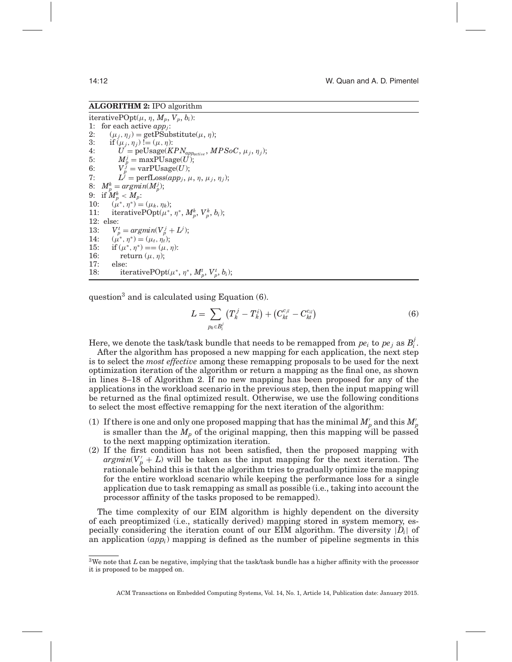## **ALGORITHM 2:** IPO algorithm

iterativePOpt $(\mu, \eta, M_p, V_p, b_i)$ : 1: for each active  $app_j$ :<br>2:  $(\mu_i, \eta_i) = \text{getPSuk}$ 2:  $(\mu_j, \eta_j) = \text{getPSubstitute}(\mu, \eta);$ <br>3: if  $(\mu_j, \eta_j) := (\mu, \eta);$ 3: if  $(\mu_j, \eta_j) := (\mu, \eta)$ :<br>4:  $U = \text{neUsage}(K)$ 4:  $U = peUsage(KPN_{appactive}, MPSoC, \mu_j, \eta_j);$ <br>5:  $M^j = \max$ PUsage(*U*): 5:  $M_p^j = \text{maxPUsage}(U)$ ; 6:  $V_p^{\hat{\jmath}} = \text{varP} \text{Usage}(U);$ 7:  $L^{\tilde{j}} = \text{perfLoss}(app_i, \mu, \eta, \mu_i, \eta_i);$ 8:  $M_p^k = \operatorname{argmin}(M_p^j);$  $9: \ \ \textrm{if} \ M_p^k < M_p.$ 10:  $(\mu^*, \eta^*) = (\mu_k, \eta_k);$ <br>11: iterativePOpt( $\mu^*$ , 11: iterativePOpt $(\mu^*, \eta^*, M_p^k, V_p^k, b_i)$ ; 12: else: 13:  $V_p^t = \arg\min(V_p^j + L^j);$ 14:  $(\mu^*, \eta^*) = (\mu_t, \eta_t);$ <br>
15: if  $(\mu^*, \eta^*) = (\mu, \eta_t)$ 15: if  $(\mu^*, \eta^*) = (\mu, \eta)$ :<br>16: return  $(\mu, \eta)$ : return  $(\mu, \eta)$ ; 17: else: 18: iterativePOpt( $\mu^*, \eta^*, M_p^t, V_p^t, b_i$ );

question<sup>3</sup> and is calculated using Equation  $(6)$ .

$$
L = \sum_{p_k \in B_i^j} \left( T_k^j - T_k^i \right) + \left( C_{kt}^{c_{jl}} - C_{kt}^{c_{il}} \right) \tag{6}
$$

Here, we denote the task/task bundle that needs to be remapped from  $pe_i$  to  $pe_j$  as  $B_i^j$ .

After the algorithm has proposed a new mapping for each application, the next step is to select the *most effective* among these remapping proposals to be used for the next optimization iteration of the algorithm or return a mapping as the final one, as shown in lines 8–18 of Algorithm 2. If no new mapping has been proposed for any of the applications in the workload scenario in the previous step, then the input mapping will be returned as the final optimized result. Otherwise, we use the following conditions to select the most effective remapping for the next iteration of the algorithm:

- (1) If there is one and only one proposed mapping that has the minimal  $M_{p}^{\prime}$  and this  $M_{p}^{\prime}$ is smaller than the *Mp* of the original mapping, then this mapping will be passed to the next mapping optimization iteration.
- (2) If the first condition has not been satisfied, then the proposed mapping with  $argmin(V'_{p} + L)$  will be taken as the input mapping for the next iteration. The rationale behind this is that the algorithm tries to gradually optimize the mapping for the entire workload scenario while keeping the performance loss for a single application due to task remapping as small as possible (i.e., taking into account the processor affinity of the tasks proposed to be remapped).

The time complexity of our EIM algorithm is highly dependent on the diversity of each preoptimized (i.e., statically derived) mapping stored in system memory, especially considering the iteration count of our EIM algorithm. The diversity  $|D_i|$  of an application (*appi*) mapping is defined as the number of pipeline segments in this

<span id="page-11-0"></span><sup>3</sup>We note that *L* can be negative, implying that the task/task bundle has a higher affinity with the processor it is proposed to be mapped on.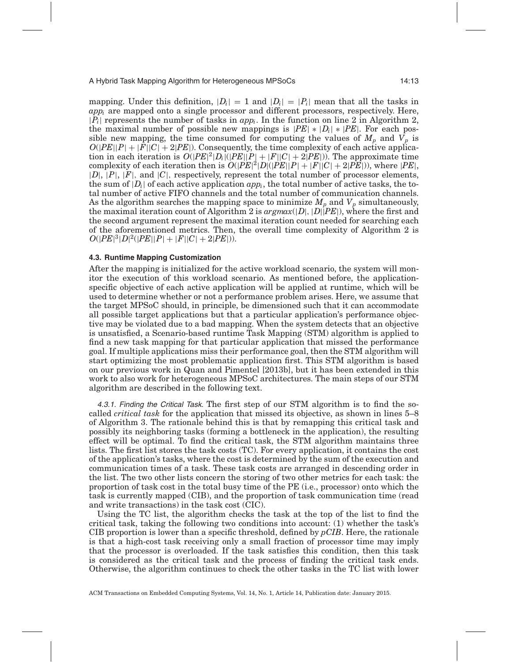mapping. Under this definition,  $|D_i| = 1$  and  $|D_i| = |P_i|$  mean that all the tasks in *appi* are mapped onto a single processor and different processors, respectively. Here,  $|P_i|$  represents the number of tasks in  $app_i$ . In the function on line 2 in Algorithm 2, the maximal number of possible new mappings is  $|PE| * |D_i| * |PE|$ . For each possible new mapping, the time consumed for computing the values of  $M_p$  and  $V_p$  is  $O(|PE||P| + |F||C| + 2|PE|)$ . Consequently, the time complexity of each active application in each iteration is  $O(|PE|^2|D_i|(|PE||P|+|F||C|+2|PE|))$ . The approximate time complexity of each iteration then is  $O(|PE|^2|D|(|PE||P|+|F||C|+2|PE|))$ , where  $|PE|$ , |*D*|, |*P*|, |*F*|, and |*C*|, respectively, represent the total number of processor elements, the sum of  $|D_i|$  of each active application  $app_i$ , the total number of active tasks, the total number of active FIFO channels and the total number of communication channels. As the algorithm searches the mapping space to minimize  $M_p$  and  $V_p$  simultaneously, the maximal iteration count of Algorithm 2 is *argmax*(|*D*|, |*D*||*PE*|), where the first and the second argument represent the maximal iteration count needed for searching each of the aforementioned metrics. Then, the overall time complexity of Algorithm 2 is  $O(|PE|^3|D|^2(|PE||P|+|F||C|+2|PE|)).$ 

#### **4.3. Runtime Mapping Customization**

After the mapping is initialized for the active workload scenario, the system will monitor the execution of this workload scenario. As mentioned before, the applicationspecific objective of each active application will be applied at runtime, which will be used to determine whether or not a performance problem arises. Here, we assume that the target MPSoC should, in principle, be dimensioned such that it can accommodate all possible target applications but that a particular application's performance objective may be violated due to a bad mapping. When the system detects that an objective is unsatisfied, a Scenario-based runtime Task Mapping (STM) algorithm is applied to find a new task mapping for that particular application that missed the performance goal. If multiple applications miss their performance goal, then the STM algorithm will start optimizing the most problematic application first. This STM algorithm is based on our previous work in Quan and Pimentel [\[2013b\]](#page-23-3), but it has been extended in this work to also work for heterogeneous MPSoC architectures. The main steps of our STM algorithm are described in the following text.

4.3.1. Finding the Critical Task. The first step of our STM algorithm is to find the socalled *critical task* for the application that missed its objective, as shown in lines 5–8 of Algorithm 3. The rationale behind this is that by remapping this critical task and possibly its neighboring tasks (forming a bottleneck in the application), the resulting effect will be optimal. To find the critical task, the STM algorithm maintains three lists. The first list stores the task costs (TC). For every application, it contains the cost of the application's tasks, where the cost is determined by the sum of the execution and communication times of a task. These task costs are arranged in descending order in the list. The two other lists concern the storing of two other metrics for each task: the proportion of task cost in the total busy time of the PE (i.e., processor) onto which the task is currently mapped (CIB), and the proportion of task communication time (read and write transactions) in the task cost (CIC).

Using the TC list, the algorithm checks the task at the top of the list to find the critical task, taking the following two conditions into account: (1) whether the task's CIB proportion is lower than a specific threshold, defined by *pCIB*. Here, the rationale is that a high-cost task receiving only a small fraction of processor time may imply that the processor is overloaded. If the task satisfies this condition, then this task is considered as the critical task and the process of finding the critical task ends. Otherwise, the algorithm continues to check the other tasks in the TC list with lower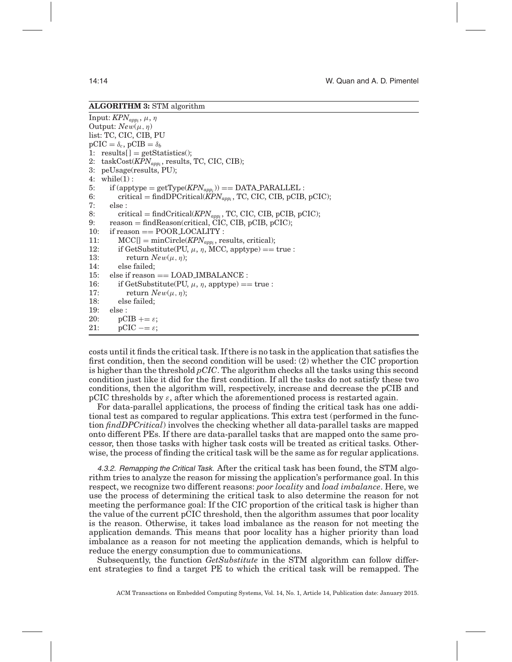#### **ALGORITHM 3:** STM algorithm

Input:  $KPN_{appi}$ , μ, η Output:  $New(\mu, \eta)$ list: TC, CIC, CIB, PU  $pCIC = \delta_c$ ,  $pCIB = \delta_b$ 1: results[] = getStatistics();<br>2: taskCost( $KPN_{app}$ , results, 2: taskCost(*KPNappi* , results, TC, CIC, CIB); 3: peUsage(results, PU); 4: while(1) : 5: if  $(\text{apptype} = \text{getType}(KPN_{app_i})) = \text{DATA\_PARALLEL}:$ <br>6: critical = findDPCritical( $KPN_{app}$ , TC, CIC, CIB, pCIB. 6: critical = findDPCritical( $\overline{K}PN_{appi}$ , TC, CIC, CIB, pCIB, pCIC);<br>7: else : 7: else : 8: critical = findCritical(*KPN<sub>appi</sub>*, TC, CIC, CIB, pCIB, pCIC);<br>9: reason = findReason(critical, CIC, CIB, pCIB, pCIC); 9: reason = findReason(critical, CIC, CIB, pCIB, pCIC);<br>10. if reason == POOR LOCALITY. 10: if reason == POOR\_LOCALITY :<br>11:  $MCCI = minCircle(KPN_{env.}$  re 11:  $MCC[] = minCircle(KPN_{appi}$ , results, critical);<br>12: if GetSubstitute(PII  $\mu$  n MCC apptype) == 12: if GetSubstitute(PU, μ, η, MCC, apptype) == true :<br>13. return  $New(u, n)$ : return  $New(\mu, \eta)$ ; 14: else failed; 15: else if reason == LOAD\_IMBALANCE :<br>16: if GetSubstitute(PU,  $\mu$ , n, apptype) = 16: if GetSubstitute(PU,  $\mu$ ,  $\eta$ , apptype) == true :<br>17: return  $New(u, n)$ : return  $New(\mu, \eta)$ ; 18: else failed; 19: else : 20:  $pCIB += \varepsilon$ ;<br>21:  $pCIC == \varepsilon$ :  $\text{pCIC} \equiv \varepsilon$ ;

costs until it finds the critical task. If there is no task in the application that satisfies the first condition, then the second condition will be used: (2) whether the CIC proportion is higher than the threshold *pCIC*. The algorithm checks all the tasks using this second condition just like it did for the first condition. If all the tasks do not satisfy these two conditions, then the algorithm will, respectively, increase and decrease the pCIB and pCIC thresholds by  $\varepsilon$ , after which the aforementioned process is restarted again.

For data-parallel applications, the process of finding the critical task has one additional test as compared to regular applications. This extra test (performed in the function *findDPCritical*) involves the checking whether all data-parallel tasks are mapped onto different PEs. If there are data-parallel tasks that are mapped onto the same processor, then those tasks with higher task costs will be treated as critical tasks. Otherwise, the process of finding the critical task will be the same as for regular applications.

4.3.2. Remapping the Critical Task. After the critical task has been found, the STM algorithm tries to analyze the reason for missing the application's performance goal. In this respect, we recognize two different reasons: *poor locality* and *load imbalance*. Here, we use the process of determining the critical task to also determine the reason for not meeting the performance goal: If the CIC proportion of the critical task is higher than the value of the current pCIC threshold, then the algorithm assumes that poor locality is the reason. Otherwise, it takes load imbalance as the reason for not meeting the application demands. This means that poor locality has a higher priority than load imbalance as a reason for not meeting the application demands, which is helpful to reduce the energy consumption due to communications.

Subsequently, the function *GetSubstitute* in the STM algorithm can follow different strategies to find a target PE to which the critical task will be remapped. The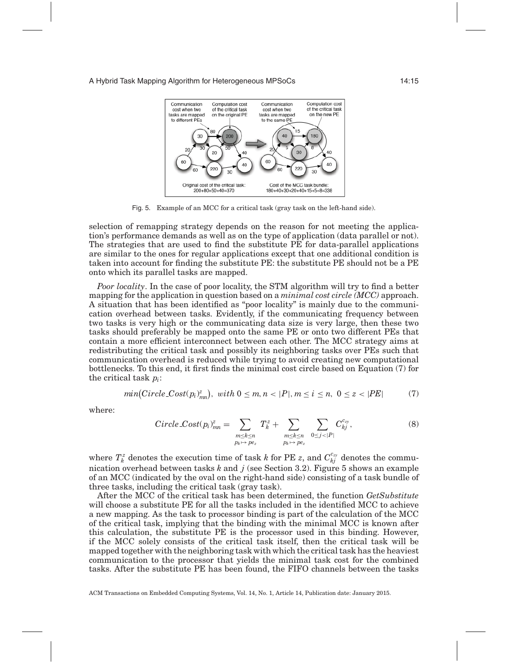<span id="page-14-0"></span>

Fig. 5. Example of an MCC for a critical task (gray task on the left-hand side).

selection of remapping strategy depends on the reason for not meeting the application's performance demands as well as on the type of application (data parallel or not). The strategies that are used to find the substitute PE for data-parallel applications are similar to the ones for regular applications except that one additional condition is taken into account for finding the substitute PE: the substitute PE should not be a PE onto which its parallel tasks are mapped.

*Poor locality*. In the case of poor locality, the STM algorithm will try to find a better mapping for the application in question based on a *minimal cost circle (MCC)* approach. A situation that has been identified as "poor locality" is mainly due to the communication overhead between tasks. Evidently, if the communicating frequency between two tasks is very high or the communicating data size is very large, then these two tasks should preferably be mapped onto the same PE or onto two different PEs that contain a more efficient interconnect between each other. The MCC strategy aims at redistributing the critical task and possibly its neighboring tasks over PEs such that communication overhead is reduced while trying to avoid creating new computational bottlenecks. To this end, it first finds the minimal cost circle based on Equation (7) for the critical task *pi*:

$$
min(Circle\text{.}Cost(p_i)_{mn}^z),\ with\ 0 \leq m, n < |P|, m \leq i \leq n,\ 0 \leq z < |PE| \tag{7}
$$

where:

$$
Circle\_{Cost}(p_i)_{mn}^z = \sum_{\substack{m \leq k \leq n \\ p_k \mapsto p e_z}} T_k^z + \sum_{\substack{m \leq k \leq n \\ p_k \mapsto p e_z}} \sum_{\substack{0 \leq j < |P| \\ 0 \leq j < |P|}} C_{kj}^{c_{zy}},\tag{8}
$$

where  $T_k^z$  denotes the execution time of task *k* for PE *z*, and  $C_{kj}^{c_{zy}}$  denotes the communication overhead between tasks *k* and *j* (see Section [3.2\)](#page-3-2). Figure [5](#page-14-0) shows an example of an MCC (indicated by the oval on the right-hand side) consisting of a task bundle of three tasks, including the critical task (gray task).

After the MCC of the critical task has been determined, the function *GetSubstitute* will choose a substitute PE for all the tasks included in the identified MCC to achieve a new mapping. As the task to processor binding is part of the calculation of the MCC of the critical task, implying that the binding with the minimal MCC is known after this calculation, the substitute PE is the processor used in this binding. However, if the MCC solely consists of the critical task itself, then the critical task will be mapped together with the neighboring task with which the critical task has the heaviest communication to the processor that yields the minimal task cost for the combined tasks. After the substitute PE has been found, the FIFO channels between the tasks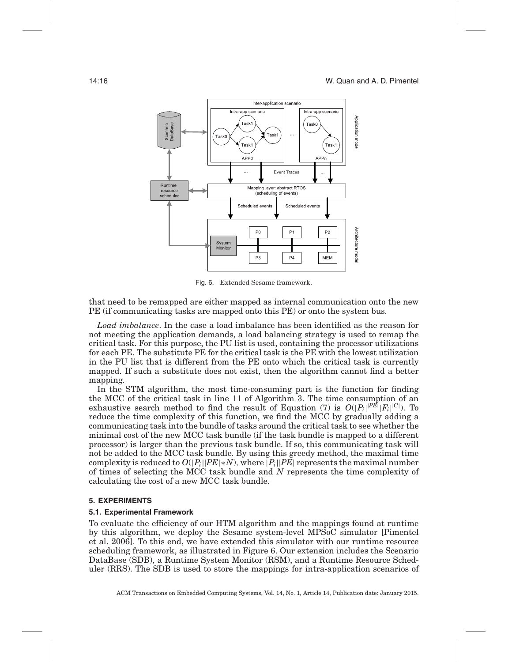<span id="page-15-1"></span>

Fig. 6. Extended Sesame framework.

that need to be remapped are either mapped as internal communication onto the new PE (if communicating tasks are mapped onto this PE) or onto the system bus.

*Load imbalance*. In the case a load imbalance has been identified as the reason for not meeting the application demands, a load balancing strategy is used to remap the critical task. For this purpose, the PU list is used, containing the processor utilizations for each PE. The substitute PE for the critical task is the PE with the lowest utilization in the PU list that is different from the PE onto which the critical task is currently mapped. If such a substitute does not exist, then the algorithm cannot find a better mapping.

In the STM algorithm, the most time-consuming part is the function for finding the MCC of the critical task in line 11 of Algorithm 3. The time consumption of an exhaustive search method to find the result of Equation (7) is  $O(|P_i|^{|PE|}|F_i|^{|C|})$ . To reduce the time complexity of this function, we find the MCC by gradually adding a communicating task into the bundle of tasks around the critical task to see whether the minimal cost of the new MCC task bundle (if the task bundle is mapped to a different processor) is larger than the previous task bundle. If so, this communicating task will not be added to the MCC task bundle. By using this greedy method, the maximal time complexity is reduced to  $O(|P_i||PE| * N)$ , where  $|P_i||PE|$  represents the maximal number of times of selecting the MCC task bundle and *N* represents the time complexity of calculating the cost of a new MCC task bundle.

## **5. EXPERIMENTS**

#### <span id="page-15-0"></span>**5.1. Experimental Framework**

To evaluate the efficiency of our HTM algorithm and the mappings found at runtime by this algorithm, we deploy the Sesame system-level MPSoC simulator [Pimentel et al. [2006\]](#page-23-6). To this end, we have extended this simulator with our runtime resource scheduling framework, as illustrated in Figure [6.](#page-15-1) Our extension includes the Scenario DataBase (SDB), a Runtime System Monitor (RSM), and a Runtime Resource Scheduler (RRS). The SDB is used to store the mappings for intra-application scenarios of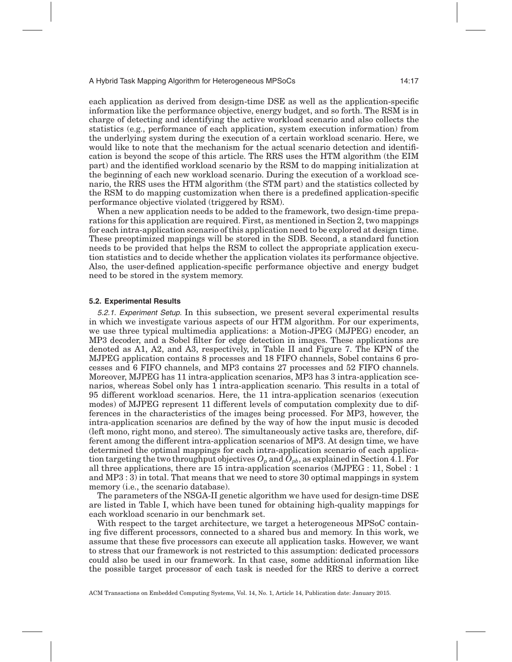each application as derived from design-time DSE as well as the application-specific information like the performance objective, energy budget, and so forth. The RSM is in charge of detecting and identifying the active workload scenario and also collects the statistics (e.g., performance of each application, system execution information) from the underlying system during the execution of a certain workload scenario. Here, we would like to note that the mechanism for the actual scenario detection and identification is beyond the scope of this article. The RRS uses the HTM algorithm (the EIM part) and the identified workload scenario by the RSM to do mapping initialization at the beginning of each new workload scenario. During the execution of a workload scenario, the RRS uses the HTM algorithm (the STM part) and the statistics collected by the RSM to do mapping customization when there is a predefined application-specific performance objective violated (triggered by RSM).

When a new application needs to be added to the framework, two design-time preparations for this application are required. First, as mentioned in Section [2,](#page-2-0) two mappings for each intra-application scenario of this application need to be explored at design time. These preoptimized mappings will be stored in the SDB. Second, a standard function needs to be provided that helps the RSM to collect the appropriate application execution statistics and to decide whether the application violates its performance objective. Also, the user-defined application-specific performance objective and energy budget need to be stored in the system memory.

#### **5.2. Experimental Results**

5.2.1. Experiment Setup. In this subsection, we present several experimental results in which we investigate various aspects of our HTM algorithm. For our experiments, we use three typical multimedia applications: a Motion-JPEG (MJPEG) encoder, an MP3 decoder, and a Sobel filter for edge detection in images. These applications are denoted as A1, A2, and A3, respectively, in Table II and Figure 7. The KPN of the MJPEG application contains 8 processes and 18 FIFO channels, Sobel contains 6 processes and 6 FIFO channels, and MP3 contains 27 processes and 52 FIFO channels. Moreover, MJPEG has 11 intra-application scenarios, MP3 has 3 intra-application scenarios, whereas Sobel only has 1 intra-application scenario. This results in a total of 95 different workload scenarios. Here, the 11 intra-application scenarios (execution modes) of MJPEG represent 11 different levels of computation complexity due to differences in the characteristics of the images being processed. For MP3, however, the intra-application scenarios are defined by the way of how the input music is decoded (left mono, right mono, and stereo). The simultaneously active tasks are, therefore, different among the different intra-application scenarios of MP3. At design time, we have determined the optimal mappings for each intra-application scenario of each application targeting the two throughput objectives  $O_p$  and  $O_{pb}$ , as explained in Section [4.1.](#page-6-1) For all three applications, there are 15 intra-application scenarios (MJPEG : 11, Sobel : 1 and MP3 : 3) in total. That means that we need to store 30 optimal mappings in system memory (i.e., the scenario database).

The parameters of the NSGA-II genetic algorithm we have used for design-time DSE are listed in Table [I,](#page-17-0) which have been tuned for obtaining high-quality mappings for each workload scenario in our benchmark set.

With respect to the target architecture, we target a heterogeneous MPSoC containing five different processors, connected to a shared bus and memory. In this work, we assume that these five processors can execute all application tasks. However, we want to stress that our framework is not restricted to this assumption: dedicated processors could also be used in our framework. In that case, some additional information like the possible target processor of each task is needed for the RRS to derive a correct

ACM Transactions on Embedded Computing Systems, Vol. 14, No. 1, Article 14, Publication date: January 2015.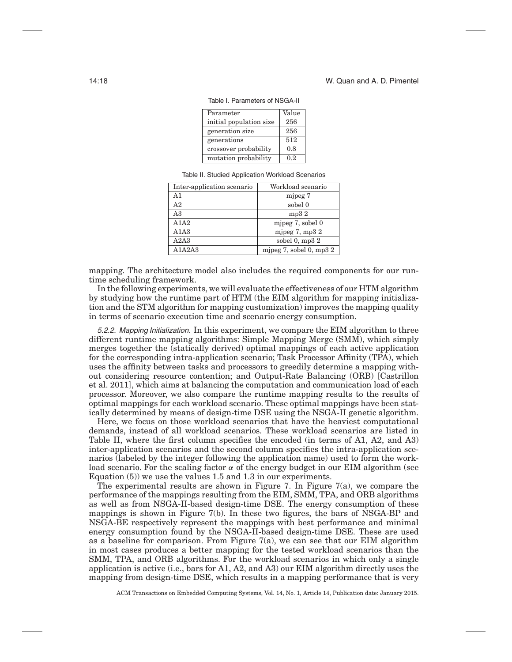<span id="page-17-0"></span>

| Parameter               | Value |
|-------------------------|-------|
| initial population size | 256   |
| generation size         | 256   |
| generations             | 512   |
| crossover probability   | 0.8   |
| mutation probability    | 0.2   |

Table I. Parameters of NSGA-II

Table II. Studied Application Workload Scenarios

| Inter-application scenario | Workload scenario         |
|----------------------------|---------------------------|
| A <sub>1</sub>             | mjpeg 7                   |
| A <sub>2</sub>             | sobel 0                   |
| A <sub>3</sub>             | mp32                      |
| A1A2                       | mjpeg $7$ , sobel $0$     |
| A1A3                       | mjpeg $7$ , mp $32$       |
| A2A3                       | sobel $0, mp32$           |
| A1A2A3                     | mjpeg 7, sobel 0, mp $32$ |

mapping. The architecture model also includes the required components for our runtime scheduling framework.

In the following experiments, we will evaluate the effectiveness of our HTM algorithm by studying how the runtime part of HTM (the EIM algorithm for mapping initialization and the STM algorithm for mapping customization) improves the mapping quality in terms of scenario execution time and scenario energy consumption.

5.2.2. Mapping Initialization. In this experiment, we compare the EIM algorithm to three different runtime mapping algorithms: Simple Mapping Merge (SMM), which simply merges together the (statically derived) optimal mappings of each active application for the corresponding intra-application scenario; Task Processor Affinity (TPA), which uses the affinity between tasks and processors to greedily determine a mapping without considering resource contention; and Output-Rate Balancing (ORB) [Castrillon et al. [2011\]](#page-23-8), which aims at balancing the computation and communication load of each processor. Moreover, we also compare the runtime mapping results to the results of optimal mappings for each workload scenario. These optimal mappings have been statically determined by means of design-time DSE using the NSGA-II genetic algorithm.

Here, we focus on those workload scenarios that have the heaviest computational demands, instead of all workload scenarios. These workload scenarios are listed in Table II, where the first column specifies the encoded (in terms of A1, A2, and A3) inter-application scenarios and the second column specifies the intra-application scenarios (labeled by the integer following the application name) used to form the workload scenario. For the scaling factor  $\alpha$  of the energy budget in our EIM algorithm (see Equation (5)) we use the values 1.5 and 1.3 in our experiments.

The experimental results are shown in Figure [7.](#page-18-0) In Figure [7\(](#page-18-0)a), we compare the performance of the mappings resulting from the EIM, SMM, TPA, and ORB algorithms as well as from NSGA-II-based design-time DSE. The energy consumption of these mappings is shown in Figure [7\(](#page-18-0)b). In these two figures, the bars of NSGA-BP and NSGA-BE respectively represent the mappings with best performance and minimal energy consumption found by the NSGA-II-based design-time DSE. These are used as a baseline for comparison. From Figure [7\(](#page-18-0)a), we can see that our EIM algorithm in most cases produces a better mapping for the tested workload scenarios than the SMM, TPA, and ORB algorithms. For the workload scenarios in which only a single application is active (i.e., bars for A1, A2, and A3) our EIM algorithm directly uses the mapping from design-time DSE, which results in a mapping performance that is very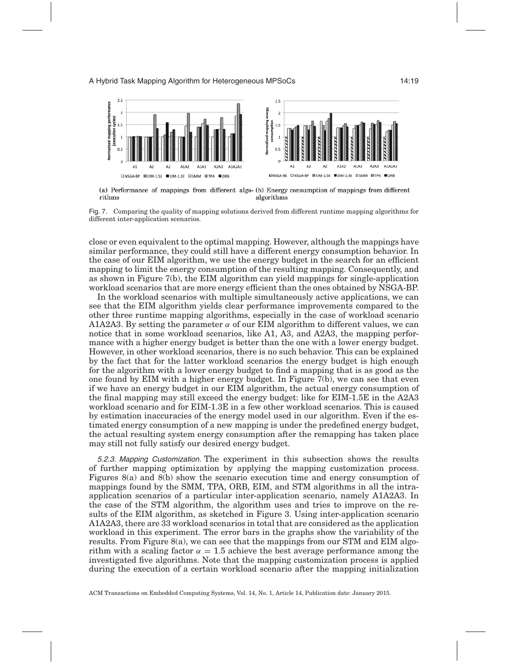<span id="page-18-0"></span>

(a) Performance of mappings from different algo- (b) Energy consumption of mappings from different rithms algorithms



close or even equivalent to the optimal mapping. However, although the mappings have similar performance, they could still have a different energy consumption behavior. In the case of our EIM algorithm, we use the energy budget in the search for an efficient mapping to limit the energy consumption of the resulting mapping. Consequently, and as shown in Figure [7\(](#page-18-0)b), the EIM algorithm can yield mappings for single-application workload scenarios that are more energy efficient than the ones obtained by NSGA-BP.

In the workload scenarios with multiple simultaneously active applications, we can see that the EIM algorithm yields clear performance improvements compared to the other three runtime mapping algorithms, especially in the case of workload scenario A1A2A3. By setting the parameter  $\alpha$  of our EIM algorithm to different values, we can notice that in some workload scenarios, like A1, A3, and A2A3, the mapping performance with a higher energy budget is better than the one with a lower energy budget. However, in other workload scenarios, there is no such behavior. This can be explained by the fact that for the latter workload scenarios the energy budget is high enough for the algorithm with a lower energy budget to find a mapping that is as good as the one found by EIM with a higher energy budget. In Figure [7\(](#page-18-0)b), we can see that even if we have an energy budget in our EIM algorithm, the actual energy consumption of the final mapping may still exceed the energy budget: like for EIM-1.5E in the A2A3 workload scenario and for EIM-1.3E in a few other workload scenarios. This is caused by estimation inaccuracies of the energy model used in our algorithm. Even if the estimated energy consumption of a new mapping is under the predefined energy budget, the actual resulting system energy consumption after the remapping has taken place may still not fully satisfy our desired energy budget.

5.2.3. Mapping Customization. The experiment in this subsection shows the results of further mapping optimization by applying the mapping customization process. Figures [8\(](#page-19-0)a) and [8\(](#page-19-0)b) show the scenario execution time and energy consumption of mappings found by the SMM, TPA, ORB, EIM, and STM algorithms in all the intraapplication scenarios of a particular inter-application scenario, namely A1A2A3. In the case of the STM algorithm, the algorithm uses and tries to improve on the results of the EIM algorithm, as sketched in Figure [3.](#page-6-0) Using inter-application scenario A1A2A3, there are 33 workload scenarios in total that are considered as the application workload in this experiment. The error bars in the graphs show the variability of the results. From Figure [8\(](#page-19-0)a), we can see that the mappings from our STM and EIM algorithm with a scaling factor  $\alpha = 1.5$  achieve the best average performance among the investigated five algorithms. Note that the mapping customization process is applied during the execution of a certain workload scenario after the mapping initialization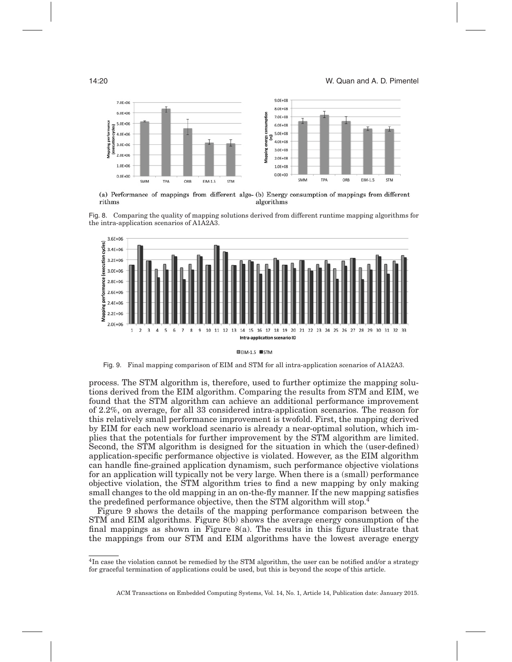<span id="page-19-0"></span>

(a) Performance of mappings from different algo- (b) Energy consumption of mappings from different rithms algorithms



<span id="page-19-2"></span>

Fig. 9. Final mapping comparison of EIM and STM for all intra-application scenarios of A1A2A3.

process. The STM algorithm is, therefore, used to further optimize the mapping solutions derived from the EIM algorithm. Comparing the results from STM and EIM, we found that the STM algorithm can achieve an additional performance improvement of 2.2%, on average, for all 33 considered intra-application scenarios. The reason for this relatively small performance improvement is twofold. First, the mapping derived by EIM for each new workload scenario is already a near-optimal solution, which implies that the potentials for further improvement by the STM algorithm are limited. Second, the STM algorithm is designed for the situation in which the (user-defined) application-specific performance objective is violated. However, as the EIM algorithm can handle fine-grained application dynamism, such performance objective violations for an application will typically not be very large. When there is a (small) performance objective violation, the STM algorithm tries to find a new mapping by only making small changes to the old mapping in an on-the-fly manner. If the new mapping satisfies the predefined performance objective, then the STM algorithm will stop[.4](#page-19-1)

Figure [9](#page-19-2) shows the details of the mapping performance comparison between the STM and EIM algorithms. Figure [8\(](#page-19-0)b) shows the average energy consumption of the final mappings as shown in Figure  $8(a)$ . The results in this figure illustrate that the mappings from our STM and EIM algorithms have the lowest average energy

<span id="page-19-1"></span><sup>&</sup>lt;sup>4</sup>In case the violation cannot be remedied by the STM algorithm, the user can be notified and/or a strategy for graceful termination of applications could be used, but this is beyond the scope of this article.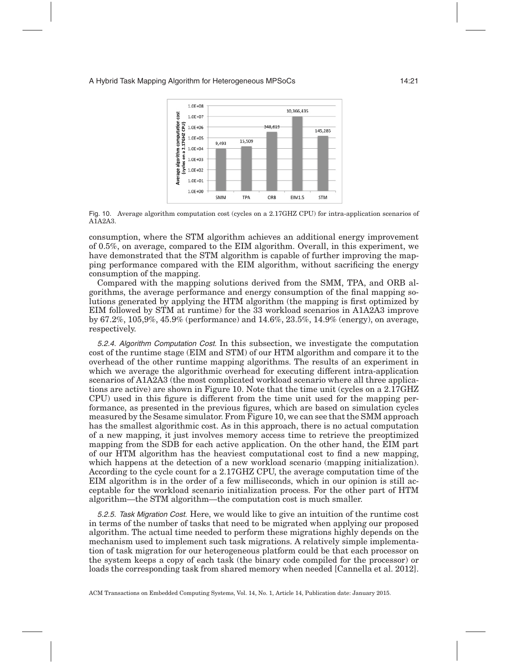<span id="page-20-0"></span>

Fig. 10. Average algorithm computation cost (cycles on a 2.17GHZ CPU) for intra-application scenarios of A1A2A3.

consumption, where the STM algorithm achieves an additional energy improvement of 0.5%, on average, compared to the EIM algorithm. Overall, in this experiment, we have demonstrated that the STM algorithm is capable of further improving the mapping performance compared with the EIM algorithm, without sacrificing the energy consumption of the mapping.

Compared with the mapping solutions derived from the SMM, TPA, and ORB algorithms, the average performance and energy consumption of the final mapping solutions generated by applying the HTM algorithm (the mapping is first optimized by EIM followed by STM at runtime) for the 33 workload scenarios in A1A2A3 improve by 67.2%, 105,9%, 45.9% (performance) and 14.6%, 23.5%, 14.9% (energy), on average, respectively.

5.2.4. Algorithm Computation Cost. In this subsection, we investigate the computation cost of the runtime stage (EIM and STM) of our HTM algorithm and compare it to the overhead of the other runtime mapping algorithms. The results of an experiment in which we average the algorithmic overhead for executing different intra-application scenarios of A1A2A3 (the most complicated workload scenario where all three applications are active) are shown in Figure [10.](#page-20-0) Note that the time unit (cycles on a 2.17GHZ CPU) used in this figure is different from the time unit used for the mapping performance, as presented in the previous figures, which are based on simulation cycles measured by the Sesame simulator. From Figure [10,](#page-20-0) we can see that the SMM approach has the smallest algorithmic cost. As in this approach, there is no actual computation of a new mapping, it just involves memory access time to retrieve the preoptimized mapping from the SDB for each active application. On the other hand, the EIM part of our HTM algorithm has the heaviest computational cost to find a new mapping, which happens at the detection of a new workload scenario (mapping initialization). According to the cycle count for a 2.17GHZ CPU, the average computation time of the EIM algorithm is in the order of a few milliseconds, which in our opinion is still acceptable for the workload scenario initialization process. For the other part of HTM algorithm—the STM algorithm—the computation cost is much smaller.

5.2.5. Task Migration Cost. Here, we would like to give an intuition of the runtime cost in terms of the number of tasks that need to be migrated when applying our proposed algorithm. The actual time needed to perform these migrations highly depends on the mechanism used to implement such task migrations. A relatively simple implementation of task migration for our heterogeneous platform could be that each processor on the system keeps a copy of each task (the binary code compiled for the processor) or loads the corresponding task from shared memory when needed [Cannella et al. [2012\]](#page-23-9).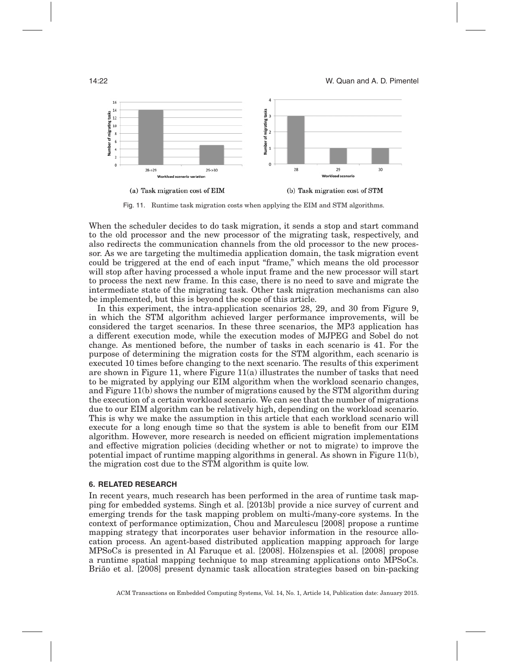<span id="page-21-1"></span>

Fig. 11. Runtime task migration costs when applying the EIM and STM algorithms.

When the scheduler decides to do task migration, it sends a stop and start command to the old processor and the new processor of the migrating task, respectively, and also redirects the communication channels from the old processor to the new processor. As we are targeting the multimedia application domain, the task migration event could be triggered at the end of each input "frame," which means the old processor will stop after having processed a whole input frame and the new processor will start to process the next new frame. In this case, there is no need to save and migrate the intermediate state of the migrating task. Other task migration mechanisms can also be implemented, but this is beyond the scope of this article.

In this experiment, the intra-application scenarios 28, 29, and 30 from Figure [9,](#page-19-2) in which the STM algorithm achieved larger performance improvements, will be considered the target scenarios. In these three scenarios, the MP3 application has a different execution mode, while the execution modes of MJPEG and Sobel do not change. As mentioned before, the number of tasks in each scenario is 41. For the purpose of determining the migration costs for the STM algorithm, each scenario is executed 10 times before changing to the next scenario. The results of this experiment are shown in Figure [11,](#page-21-1) where Figure  $11(a)$  illustrates the number of tasks that need to be migrated by applying our EIM algorithm when the workload scenario changes, and Figure [11\(](#page-21-1)b) shows the number of migrations caused by the STM algorithm during the execution of a certain workload scenario. We can see that the number of migrations due to our EIM algorithm can be relatively high, depending on the workload scenario. This is why we make the assumption in this article that each workload scenario will execute for a long enough time so that the system is able to benefit from our EIM algorithm. However, more research is needed on efficient migration implementations and effective migration policies (deciding whether or not to migrate) to improve the potential impact of runtime mapping algorithms in general. As shown in Figure [11\(](#page-21-1)b), the migration cost due to the STM algorithm is quite low.

### **6. RELATED RESEARCH**

<span id="page-21-0"></span>In recent years, much research has been performed in the area of runtime task mapping for embedded systems. Singh et al. [\[2013b\]](#page-24-4) provide a nice survey of current and emerging trends for the task mapping problem on multi-/many-core systems. In the context of performance optimization, Chou and Marculescu [\[2008\]](#page-23-10) propose a runtime mapping strategy that incorporates user behavior information in the resource allocation process. An agent-based distributed application mapping approach for large  $MPSoCs$  is presented in Al Faruque et al.  $[2008]$ . Hölzenspies et al.  $[2008]$  propose a runtime spatial mapping technique to map streaming applications onto MPSoCs. Brião et al. [\[2008\]](#page-23-13) present dynamic task allocation strategies based on bin-packing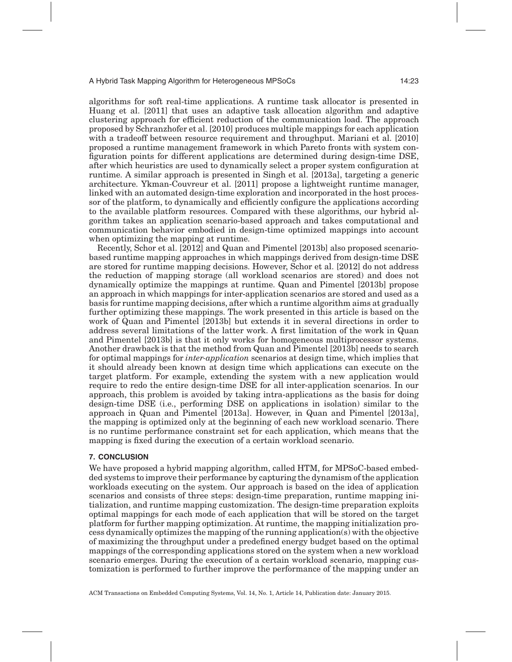algorithms for soft real-time applications. A runtime task allocator is presented in Huang et al. [\[2011\]](#page-23-14) that uses an adaptive task allocation algorithm and adaptive clustering approach for efficient reduction of the communication load. The approach proposed by Schranzhofer et al. [\[2010\]](#page-24-5) produces multiple mappings for each application with a tradeoff between resource requirement and throughput. Mariani et al. [\[2010\]](#page-23-15) proposed a runtime management framework in which Pareto fronts with system configuration points for different applications are determined during design-time DSE, after which heuristics are used to dynamically select a proper system configuration at runtime. A similar approach is presented in Singh et al. [\[2013a\]](#page-24-6), targeting a generic architecture. Ykman-Couvreur et al. [\[2011\]](#page-24-7) propose a lightweight runtime manager, linked with an automated design-time exploration and incorporated in the host processor of the platform, to dynamically and efficiently configure the applications according to the available platform resources. Compared with these algorithms, our hybrid algorithm takes an application scenario-based approach and takes computational and communication behavior embodied in design-time optimized mappings into account when optimizing the mapping at runtime.

Recently, Schor et al. [\[2012\]](#page-24-3) and Quan and Pimentel [\[2013b\]](#page-23-3) also proposed scenariobased runtime mapping approaches in which mappings derived from design-time DSE are stored for runtime mapping decisions. However, Schor et al. [\[2012\]](#page-24-3) do not address the reduction of mapping storage (all workload scenarios are stored) and does not dynamically optimize the mappings at runtime. Quan and Pimentel [\[2013b\]](#page-23-3) propose an approach in which mappings for inter-application scenarios are stored and used as a basis for runtime mapping decisions, after which a runtime algorithm aims at gradually further optimizing these mappings. The work presented in this article is based on the work of Quan and Pimentel [\[2013b\]](#page-23-3) but extends it in several directions in order to address several limitations of the latter work. A first limitation of the work in Quan and Pimentel [\[2013b\]](#page-23-3) is that it only works for homogeneous multiprocessor systems. Another drawback is that the method from Quan and Pimentel [\[2013b\]](#page-23-3) needs to search for optimal mappings for *inter-application* scenarios at design time, which implies that it should already been known at design time which applications can execute on the target platform. For example, extending the system with a new application would require to redo the entire design-time DSE for all inter-application scenarios. In our approach, this problem is avoided by taking intra-applications as the basis for doing design-time DSE (i.e., performing DSE on applications in isolation) similar to the approach in Quan and Pimentel [\[2013a\]](#page-23-7). However, in Quan and Pimentel [\[2013a\]](#page-23-7), the mapping is optimized only at the beginning of each new workload scenario. There is no runtime performance constraint set for each application, which means that the mapping is fixed during the execution of a certain workload scenario.

#### **7. CONCLUSION**

<span id="page-22-0"></span>We have proposed a hybrid mapping algorithm, called HTM, for MPSoC-based embedded systems to improve their performance by capturing the dynamism of the application workloads executing on the system. Our approach is based on the idea of application scenarios and consists of three steps: design-time preparation, runtime mapping initialization, and runtime mapping customization. The design-time preparation exploits optimal mappings for each mode of each application that will be stored on the target platform for further mapping optimization. At runtime, the mapping initialization process dynamically optimizes the mapping of the running application(s) with the objective of maximizing the throughput under a predefined energy budget based on the optimal mappings of the corresponding applications stored on the system when a new workload scenario emerges. During the execution of a certain workload scenario, mapping customization is performed to further improve the performance of the mapping under an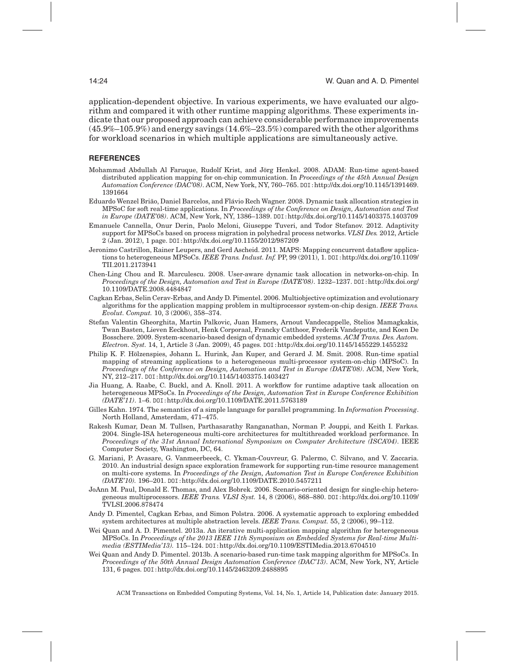application-dependent objective. In various experiments, we have evaluated our algorithm and compared it with other runtime mapping algorithms. These experiments indicate that our proposed approach can achieve considerable performance improvements (45.9%–105.9%) and energy savings (14.6%–23.5%) compared with the other algorithms for workload scenarios in which multiple applications are simultaneously active.

## **REFERENCES**

- <span id="page-23-11"></span>Mohammad Abdullah Al Faruque, Rudolf Krist, and Jorg Henkel. 2008. ADAM: Run-time agent-based ¨ distributed application mapping for on-chip communication. In *Proceedings of the 45th Annual Design Automation Conference (DAC'08)*. ACM, New York, NY, 760–765. DOI:[http://dx.doi.org/10.1145/1391469.](http://dx.doi.org/10.1145/1391469.1391664) [1391664](http://dx.doi.org/10.1145/1391469.1391664)
- <span id="page-23-13"></span>Eduardo Wenzel Brião, Daniel Barcelos, and Flávio Rech Wagner. 2008. Dynamic task allocation strategies in MPSoC for soft real-time applications. In *Proceedings of the Conference on Design, Automation and Test in Europe (DATE'08)*. ACM, New York, NY, 1386–1389. DOI:<http://dx.doi.org/10.1145/1403375.1403709>
- <span id="page-23-9"></span>Emanuele Cannella, Onur Derin, Paolo Meloni, Giuseppe Tuveri, and Todor Stefanov. 2012. Adaptivity support for MPSoCs based on process migration in polyhedral process networks. *VLSI Des.* 2012, Article 2 (Jan. 2012), 1 page. DOI:<http://dx.doi.org/10.1155/2012/987209>
- <span id="page-23-8"></span>Jeronimo Castrillon, Rainer Leupers, and Gerd Ascheid. 2011. MAPS: Mapping concurrent dataflow applications to heterogeneous MPSoCs. *IEEE Trans. Indust. Inf.* PP, 99 (2011), 1. DOI:[http://dx.doi.org/10.1109/](http://dx.doi.org/10.1109/TII.2011.2173941) [TII.2011.2173941](http://dx.doi.org/10.1109/TII.2011.2173941)
- <span id="page-23-10"></span>Chen-Ling Chou and R. Marculescu. 2008. User-aware dynamic task allocation in networks-on-chip. In *Proceedings of the Design, Automation and Test in Europe (DATE'08)*. 1232–1237. DOI:[http://dx.doi.org/](http://dx.doi.org/10.1109/DATE.2008.4484847) [10.1109/DATE.2008.4484847](http://dx.doi.org/10.1109/DATE.2008.4484847)
- <span id="page-23-5"></span>Cagkan Erbas, Selin Cerav-Erbas, and Andy D. Pimentel. 2006. Multiobjective optimization and evolutionary algorithms for the application mapping problem in multiprocessor system-on-chip design. *IEEE Trans. Evolut. Comput.* 10, 3 (2006), 358–374.
- <span id="page-23-2"></span>Stefan Valentin Gheorghita, Martin Palkovic, Juan Hamers, Arnout Vandecappelle, Stelios Mamagkakis, Twan Basten, Lieven Eeckhout, Henk Corporaal, Francky Catthoor, Frederik Vandeputte, and Koen De Bosschere. 2009. System-scenario-based design of dynamic embedded systems. *ACM Trans. Des. Autom. Electron. Syst.* 14, 1, Article 3 (Jan. 2009), 45 pages. DOI:<http://dx.doi.org/10.1145/1455229.1455232>
- <span id="page-23-12"></span>Philip K. F. Holzenspies, Johann L. Hurink, Jan Kuper, and Gerard J. M. Smit. 2008. Run-time spatial ¨ mapping of streaming applications to a heterogeneous multi-processor system-on-chip (MPSoC). In *Proceedings of the Conference on Design, Automation and Test in Europe (DATE'08)*. ACM, New York, NY, 212–217. DOI:<http://dx.doi.org/10.1145/1403375.1403427>
- <span id="page-23-14"></span>Jia Huang, A. Raabe, C. Buckl, and A. Knoll. 2011. A workflow for runtime adaptive task allocation on heterogeneous MPSoCs. In *Proceedings of the Design, Automation Test in Europe Conference Exhibition (DATE'11)*. 1–6. DOI:<http://dx.doi.org/10.1109/DATE.2011.5763189>
- <span id="page-23-4"></span>Gilles Kahn. 1974. The semantics of a simple language for parallel programming. In *Information Processing*. North Holland, Amsterdam, 471–475.
- <span id="page-23-0"></span>Rakesh Kumar, Dean M. Tullsen, Parthasarathy Ranganathan, Norman P. Jouppi, and Keith I. Farkas. 2004. Single-ISA heterogeneous multi-core architectures for multithreaded workload performance. In *Proceedings of the 31st Annual International Symposium on Computer Architecture (ISCA'04)*. IEEE Computer Society, Washington, DC, 64.
- <span id="page-23-15"></span>G. Mariani, P. Avasare, G. Vanmeerbeeck, C. Ykman-Couvreur, G. Palermo, C. Silvano, and V. Zaccaria. 2010. An industrial design space exploration framework for supporting run-time resource management on multi-core systems. In *Proceedings of the Design, Automation Test in Europe Conference Exhibition (DATE'10).* 196–201. DOI:<http://dx.doi.org/10.1109/DATE.2010.5457211>
- <span id="page-23-1"></span>JoAnn M. Paul, Donald E. Thomas, and Alex Bobrek. 2006. Scenario-oriented design for single-chip heterogeneous multiprocessors. *IEEE Trans. VLSI Syst.* 14, 8 (2006), 868–880. DOI:[http://dx.doi.org/10.1109/](http://dx.doi.org/10.1109/TVLSI.2006.878474) [TVLSI.2006.878474](http://dx.doi.org/10.1109/TVLSI.2006.878474)
- <span id="page-23-6"></span>Andy D. Pimentel, Cagkan Erbas, and Simon Polstra. 2006. A systematic approach to exploring embedded system architectures at multiple abstraction levels. *IEEE Trans. Comput.* 55, 2 (2006), 99–112.
- <span id="page-23-7"></span>Wei Quan and A. D. Pimentel. 2013a. An iterative multi-application mapping algorithm for heterogeneous MPSoCs. In *Proceedings of the 2013 IEEE 11th Symposium on Embedded Systems for Real-time Multimedia (ESTIMedia'13).* 115–124. DOI:<http://dx.doi.org/10.1109/ESTIMedia.2013.6704510>
- <span id="page-23-3"></span>Wei Quan and Andy D. Pimentel. 2013b. A scenario-based run-time task mapping algorithm for MPSoCs. In *Proceedings of the 50th Annual Design Automation Conference (DAC'13)*. ACM, New York, NY, Article 131, 6 pages. DOI:<http://dx.doi.org/10.1145/2463209.2488895>